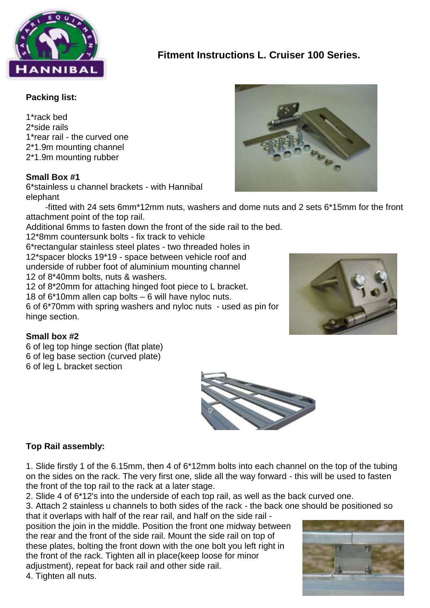

# **Fitment Instructions L. Cruiser 100 Series.**

### **Packing list:**

1\*rack bed 2\*side rails 1\*rear rail - the curved one 2\*1.9m mounting channel 2\*1.9m mounting rubber

#### **Small Box #1**

6\*stainless u channel brackets - with Hannibal elephant

 -fitted with 24 sets 6mm\*12mm nuts, washers and dome nuts and 2 sets 6\*15mm for the front attachment point of the top rail.

Additional 6mms to fasten down the front of the side rail to the bed.

12\*8mm countersunk bolts - fix track to vehicle 6\*rectangular stainless steel plates - two threaded holes in 12\*spacer blocks 19\*19 - space between vehicle roof and underside of rubber foot of aluminium mounting channel 12 of 8\*40mm bolts, nuts & washers. 12 of 8\*20mm for attaching hinged foot piece to L bracket. 18 of 6\*10mm allen cap bolts – 6 will have nyloc nuts. 6 of 6\*70mm with spring washers and nyloc nuts - used as pin for

hinge section.

## **Small box #2**

6 of leg top hinge section (flat plate) 6 of leg base section (curved plate) 6 of leg L bracket section



## **Top Rail assembly:**

1. Slide firstly 1 of the 6.15mm, then 4 of 6\*12mm bolts into each channel on the top of the tubing on the sides on the rack. The very first one, slide all the way forward - this will be used to fasten the front of the top rail to the rack at a later stage.

2. Slide 4 of 6\*12's into the underside of each top rail, as well as the back curved one.

3. Attach 2 stainless u channels to both sides of the rack - the back one should be positioned so that it overlaps with half of the rear rail, and half on the side rail -

position the join in the middle. Position the front one midway between the rear and the front of the side rail. Mount the side rail on top of these plates, bolting the front down with the one bolt you left right in the front of the rack. Tighten all in place(keep loose for minor adjustment), repeat for back rail and other side rail.

4. Tighten all nuts.